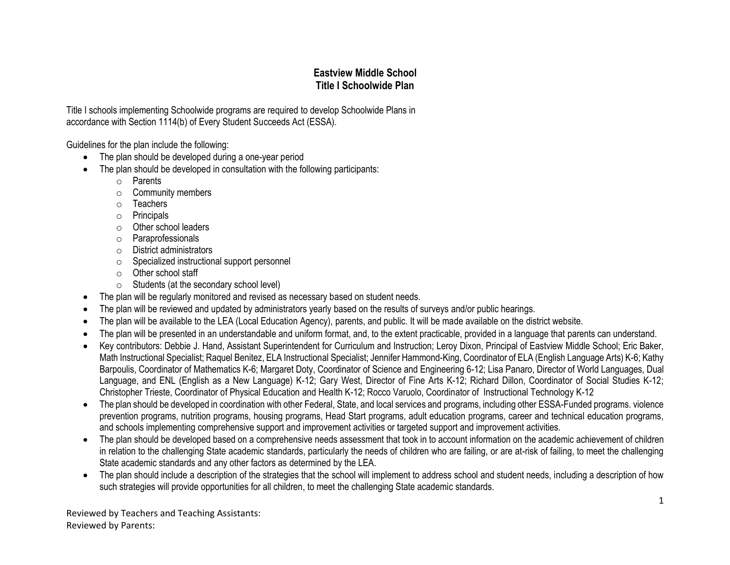## **Eastview Middle School Title I Schoolwide Plan**

Title I schools implementing Schoolwide programs are required to develop Schoolwide Plans in accordance with Section 1114(b) of Every Student Succeeds Act (ESSA).

Guidelines for the plan include the following:

- The plan should be developed during a one-year period
- The plan should be developed in consultation with the following participants:
	- o Parents
	- o Community members
	- o Teachers
	- o Principals
	- o Other school leaders
	- o Paraprofessionals
	- o District administrators
	- o Specialized instructional support personnel
	- o Other school staff
	- o Students (at the secondary school level)
- The plan will be regularly monitored and revised as necessary based on student needs.
- The plan will be reviewed and updated by administrators yearly based on the results of surveys and/or public hearings.
- The plan will be available to the LEA (Local Education Agency), parents, and public. It will be made available on the district website.
- The plan will be presented in an understandable and uniform format, and, to the extent practicable, provided in a language that parents can understand.
- Key contributors: Debbie J. Hand, Assistant Superintendent for Curriculum and Instruction; Leroy Dixon, Principal of Eastview Middle School; Eric Baker, Math Instructional Specialist; Raquel Benitez, ELA Instructional Specialist; Jennifer Hammond-King, Coordinator of ELA (English Language Arts) K-6; Kathy Barpoulis, Coordinator of Mathematics K-6; Margaret Doty, Coordinator of Science and Engineering 6-12; Lisa Panaro, Director of World Languages, Dual Language, and ENL (English as a New Language) K-12; Gary West, Director of Fine Arts K-12; Richard Dillon, Coordinator of Social Studies K-12; Christopher Trieste, Coordinator of Physical Education and Health K-12; Rocco Varuolo, Coordinator of Instructional Technology K-12
- The plan should be developed in coordination with other Federal, State, and local services and programs, including other ESSA-Funded programs. violence prevention programs, nutrition programs, housing programs, Head Start programs, adult education programs, career and technical education programs, and schools implementing comprehensive support and improvement activities or targeted support and improvement activities.
- The plan should be developed based on a comprehensive needs assessment that took in to account information on the academic achievement of children in relation to the challenging State academic standards, particularly the needs of children who are failing, or are at-risk of failing, to meet the challenging State academic standards and any other factors as determined by the LEA.
- The plan should include a description of the strategies that the school will implement to address school and student needs, including a description of how such strategies will provide opportunities for all children, to meet the challenging State academic standards.

Reviewed by Teachers and Teaching Assistants: Reviewed by Parents: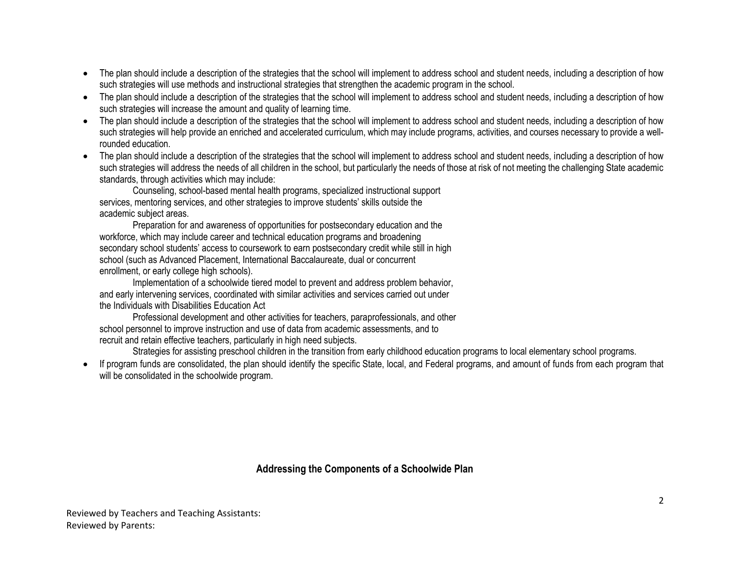- The plan should include a description of the strategies that the school will implement to address school and student needs, including a description of how such strategies will use methods and instructional strategies that strengthen the academic program in the school.
- The plan should include a description of the strategies that the school will implement to address school and student needs, including a description of how such strategies will increase the amount and quality of learning time.
- The plan should include a description of the strategies that the school will implement to address school and student needs, including a description of how such strategies will help provide an enriched and accelerated curriculum, which may include programs, activities, and courses necessary to provide a wellrounded education.
- The plan should include a description of the strategies that the school will implement to address school and student needs, including a description of how such strategies will address the needs of all children in the school, but particularly the needs of those at risk of not meeting the challenging State academic standards, through activities which may include:

Counseling, school-based mental health programs, specialized instructional support services, mentoring services, and other strategies to improve students' skills outside the academic subject areas.

Preparation for and awareness of opportunities for postsecondary education and the workforce, which may include career and technical education programs and broadening secondary school students' access to coursework to earn postsecondary credit while still in high school (such as Advanced Placement, International Baccalaureate, dual or concurrent enrollment, or early college high schools).

Implementation of a schoolwide tiered model to prevent and address problem behavior, and early intervening services, coordinated with similar activities and services carried out under the Individuals with Disabilities Education Act

Professional development and other activities for teachers, paraprofessionals, and other school personnel to improve instruction and use of data from academic assessments, and to recruit and retain effective teachers, particularly in high need subjects.

Strategies for assisting preschool children in the transition from early childhood education programs to local elementary school programs.

• If program funds are consolidated, the plan should identify the specific State, local, and Federal programs, and amount of funds from each program that will be consolidated in the schoolwide program.

## **Addressing the Components of a Schoolwide Plan**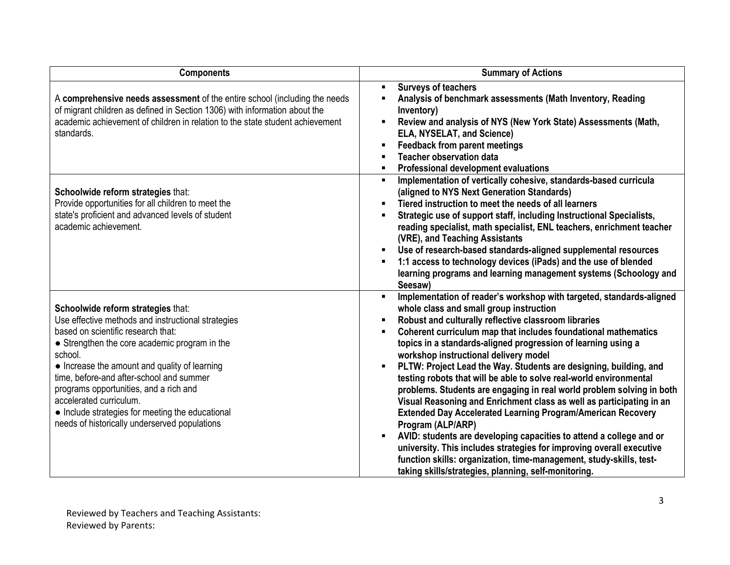| <b>Components</b>                                                                                                                                                                                                                                                                                                                                                                                                                                                 | <b>Summary of Actions</b>                                                                                                                                                                                                                                                                                                                                                                                                                                                                                                                                                                                                                                                                                                                                                                                                                                                                                                                                                                                                               |
|-------------------------------------------------------------------------------------------------------------------------------------------------------------------------------------------------------------------------------------------------------------------------------------------------------------------------------------------------------------------------------------------------------------------------------------------------------------------|-----------------------------------------------------------------------------------------------------------------------------------------------------------------------------------------------------------------------------------------------------------------------------------------------------------------------------------------------------------------------------------------------------------------------------------------------------------------------------------------------------------------------------------------------------------------------------------------------------------------------------------------------------------------------------------------------------------------------------------------------------------------------------------------------------------------------------------------------------------------------------------------------------------------------------------------------------------------------------------------------------------------------------------------|
| A comprehensive needs assessment of the entire school (including the needs<br>of migrant children as defined in Section 1306) with information about the<br>academic achievement of children in relation to the state student achievement<br>standards.                                                                                                                                                                                                           | <b>Surveys of teachers</b><br>$\blacksquare$<br>Analysis of benchmark assessments (Math Inventory, Reading<br>Inventory)<br>Review and analysis of NYS (New York State) Assessments (Math,<br>٠<br>ELA, NYSELAT, and Science)<br><b>Feedback from parent meetings</b><br>٠<br><b>Teacher observation data</b><br><b>Professional development evaluations</b>                                                                                                                                                                                                                                                                                                                                                                                                                                                                                                                                                                                                                                                                            |
| Schoolwide reform strategies that:<br>Provide opportunities for all children to meet the<br>state's proficient and advanced levels of student<br>academic achievement.                                                                                                                                                                                                                                                                                            | Implementation of vertically cohesive, standards-based curricula<br>٠<br>(aligned to NYS Next Generation Standards)<br>Tiered instruction to meet the needs of all learners<br>٠<br>Strategic use of support staff, including Instructional Specialists,<br>reading specialist, math specialist, ENL teachers, enrichment teacher<br>(VRE), and Teaching Assistants<br>Use of research-based standards-aligned supplemental resources<br>1:1 access to technology devices (iPads) and the use of blended<br>٠<br>learning programs and learning management systems (Schoology and<br>Seesaw)                                                                                                                                                                                                                                                                                                                                                                                                                                            |
| Schoolwide reform strategies that:<br>Use effective methods and instructional strategies<br>based on scientific research that:<br>• Strengthen the core academic program in the<br>school.<br>• Increase the amount and quality of learning<br>time, before-and after-school and summer<br>programs opportunities, and a rich and<br>accelerated curriculum.<br>• Include strategies for meeting the educational<br>needs of historically underserved populations | Implementation of reader's workshop with targeted, standards-aligned<br>٠<br>whole class and small group instruction<br>Robust and culturally reflective classroom libraries<br>Coherent curriculum map that includes foundational mathematics<br>٠<br>topics in a standards-aligned progression of learning using a<br>workshop instructional delivery model<br>PLTW: Project Lead the Way. Students are designing, building, and<br>testing robots that will be able to solve real-world environmental<br>problems. Students are engaging in real world problem solving in both<br>Visual Reasoning and Enrichment class as well as participating in an<br><b>Extended Day Accelerated Learning Program/American Recovery</b><br>Program (ALP/ARP)<br>AVID: students are developing capacities to attend a college and or<br>٠<br>university. This includes strategies for improving overall executive<br>function skills: organization, time-management, study-skills, test-<br>taking skills/strategies, planning, self-monitoring. |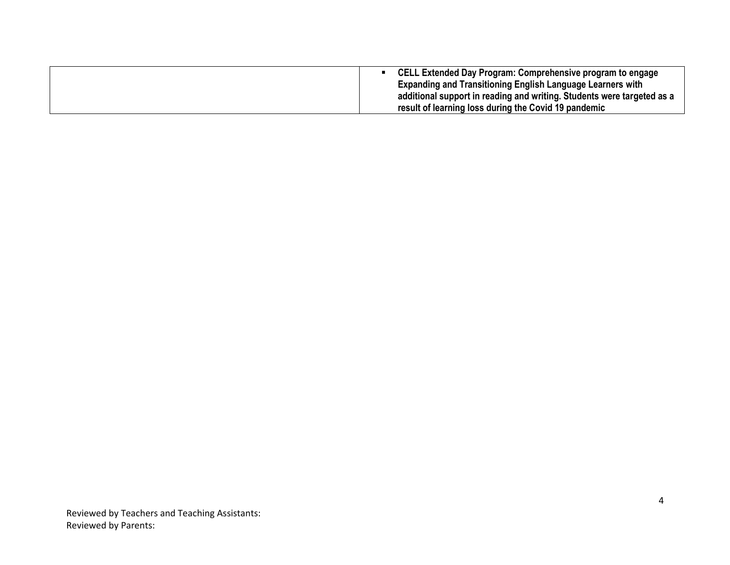| CELL Extended Day Program: Comprehensive program to engage             |
|------------------------------------------------------------------------|
| <b>Expanding and Transitioning English Language Learners with</b>      |
| additional support in reading and writing. Students were targeted as a |
| result of learning loss during the Covid 19 pandemic                   |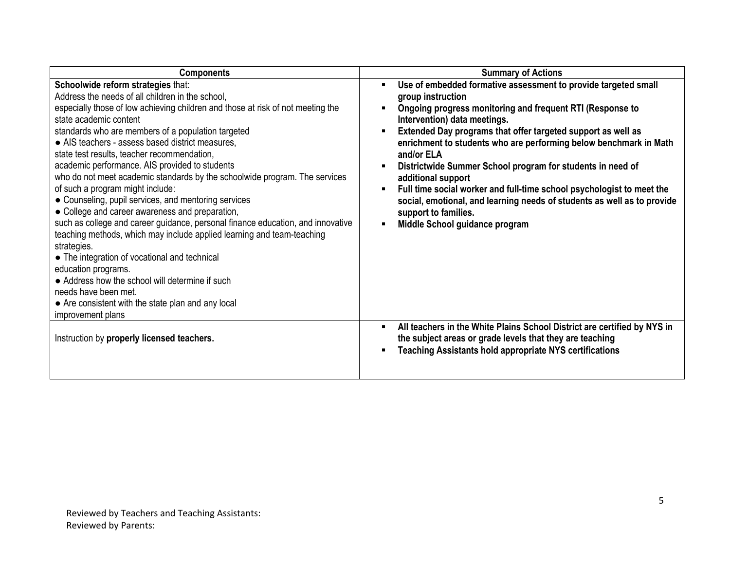| <b>Components</b>                                                                                                                                                                                                                                                                                                                                                                                                                                                                                                                                                                                                                                                                                                                                                                                                                                                                                                                                                                                                                                     | <b>Summary of Actions</b>                                                                                                                                                                                                                                                                                                                                                                                                                                                                                                                                                                                                                                              |
|-------------------------------------------------------------------------------------------------------------------------------------------------------------------------------------------------------------------------------------------------------------------------------------------------------------------------------------------------------------------------------------------------------------------------------------------------------------------------------------------------------------------------------------------------------------------------------------------------------------------------------------------------------------------------------------------------------------------------------------------------------------------------------------------------------------------------------------------------------------------------------------------------------------------------------------------------------------------------------------------------------------------------------------------------------|------------------------------------------------------------------------------------------------------------------------------------------------------------------------------------------------------------------------------------------------------------------------------------------------------------------------------------------------------------------------------------------------------------------------------------------------------------------------------------------------------------------------------------------------------------------------------------------------------------------------------------------------------------------------|
| Schoolwide reform strategies that:<br>Address the needs of all children in the school,<br>especially those of low achieving children and those at risk of not meeting the<br>state academic content<br>standards who are members of a population targeted<br>• AIS teachers - assess based district measures,<br>state test results, teacher recommendation,<br>academic performance. AIS provided to students<br>who do not meet academic standards by the schoolwide program. The services<br>of such a program might include:<br>• Counseling, pupil services, and mentoring services<br>• College and career awareness and preparation,<br>such as college and career guidance, personal finance education, and innovative<br>teaching methods, which may include applied learning and team-teaching<br>strategies.<br>• The integration of vocational and technical<br>education programs.<br>• Address how the school will determine if such<br>needs have been met.<br>• Are consistent with the state plan and any local<br>improvement plans | Use of embedded formative assessment to provide targeted small<br>٠<br>group instruction<br>Ongoing progress monitoring and frequent RTI (Response to<br>Intervention) data meetings.<br>Extended Day programs that offer targeted support as well as<br>٠<br>enrichment to students who are performing below benchmark in Math<br>and/or ELA<br>Districtwide Summer School program for students in need of<br>additional support<br>Full time social worker and full-time school psychologist to meet the<br>٠<br>social, emotional, and learning needs of students as well as to provide<br>support to families.<br>Middle School guidance program<br>$\blacksquare$ |
| Instruction by properly licensed teachers.                                                                                                                                                                                                                                                                                                                                                                                                                                                                                                                                                                                                                                                                                                                                                                                                                                                                                                                                                                                                            | All teachers in the White Plains School District are certified by NYS in<br>٠<br>the subject areas or grade levels that they are teaching<br><b>Teaching Assistants hold appropriate NYS certifications</b><br>٠                                                                                                                                                                                                                                                                                                                                                                                                                                                       |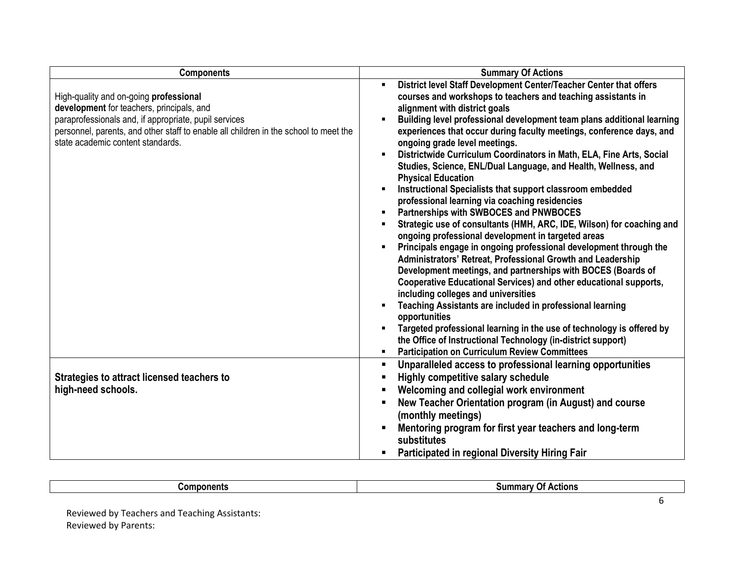| <b>Components</b>                                                                                                                                                                                                                                                         | <b>Summary Of Actions</b>                                                                                                                                                                                                                                                                                                                                                                                                                                                                                                                                                                                                                                                                                                                                                                                                                                                                                                                                                                                                                                                                                                                                                                                                                                                                                      |
|---------------------------------------------------------------------------------------------------------------------------------------------------------------------------------------------------------------------------------------------------------------------------|----------------------------------------------------------------------------------------------------------------------------------------------------------------------------------------------------------------------------------------------------------------------------------------------------------------------------------------------------------------------------------------------------------------------------------------------------------------------------------------------------------------------------------------------------------------------------------------------------------------------------------------------------------------------------------------------------------------------------------------------------------------------------------------------------------------------------------------------------------------------------------------------------------------------------------------------------------------------------------------------------------------------------------------------------------------------------------------------------------------------------------------------------------------------------------------------------------------------------------------------------------------------------------------------------------------|
| High-quality and on-going professional<br>development for teachers, principals, and<br>paraprofessionals and, if appropriate, pupil services<br>personnel, parents, and other staff to enable all children in the school to meet the<br>state academic content standards. | District level Staff Development Center/Teacher Center that offers<br>$\blacksquare$<br>courses and workshops to teachers and teaching assistants in<br>alignment with district goals<br>Building level professional development team plans additional learning<br>experiences that occur during faculty meetings, conference days, and<br>ongoing grade level meetings.<br>Districtwide Curriculum Coordinators in Math, ELA, Fine Arts, Social<br>Studies, Science, ENL/Dual Language, and Health, Wellness, and<br><b>Physical Education</b><br>Instructional Specialists that support classroom embedded<br>professional learning via coaching residencies<br>Partnerships with SWBOCES and PNWBOCES<br>Strategic use of consultants (HMH, ARC, IDE, Wilson) for coaching and<br>ongoing professional development in targeted areas<br>Principals engage in ongoing professional development through the<br>Administrators' Retreat, Professional Growth and Leadership<br>Development meetings, and partnerships with BOCES (Boards of<br>Cooperative Educational Services) and other educational supports,<br>including colleges and universities<br>Teaching Assistants are included in professional learning<br>opportunities<br>Targeted professional learning in the use of technology is offered by |
|                                                                                                                                                                                                                                                                           | the Office of Instructional Technology (in-district support)<br><b>Participation on Curriculum Review Committees</b><br>٠                                                                                                                                                                                                                                                                                                                                                                                                                                                                                                                                                                                                                                                                                                                                                                                                                                                                                                                                                                                                                                                                                                                                                                                      |
| Strategies to attract licensed teachers to<br>high-need schools.                                                                                                                                                                                                          | Unparalleled access to professional learning opportunities<br>ш<br><b>Highly competitive salary schedule</b><br>Welcoming and collegial work environment<br>New Teacher Orientation program (in August) and course<br>$\blacksquare$<br>(monthly meetings)<br>Mentoring program for first year teachers and long-term<br>substitutes<br>Participated in regional Diversity Hiring Fair                                                                                                                                                                                                                                                                                                                                                                                                                                                                                                                                                                                                                                                                                                                                                                                                                                                                                                                         |

| Am.<br>onents | $\frac{1}{2}$<br>CHONS |
|---------------|------------------------|
|               |                        |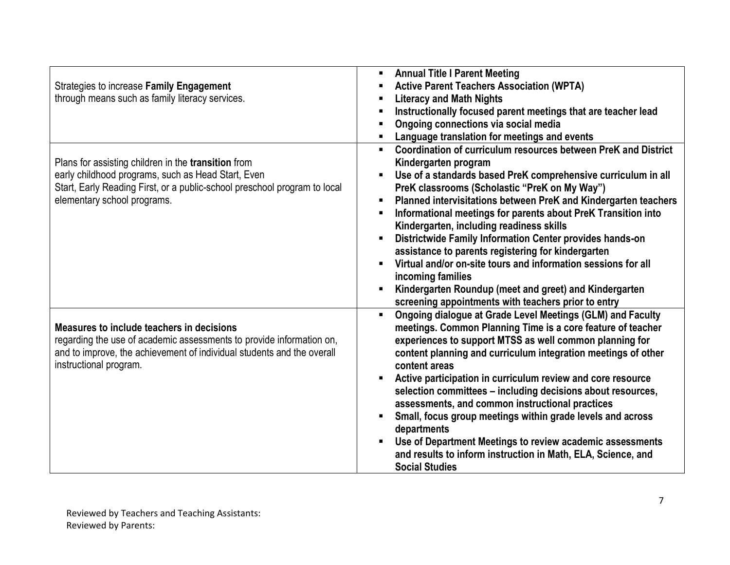|                                                                           | <b>Annual Title I Parent Meeting</b>                                         |
|---------------------------------------------------------------------------|------------------------------------------------------------------------------|
| Strategies to increase Family Engagement                                  | <b>Active Parent Teachers Association (WPTA)</b>                             |
| through means such as family literacy services.                           | <b>Literacy and Math Nights</b>                                              |
|                                                                           | Instructionally focused parent meetings that are teacher lead                |
|                                                                           | Ongoing connections via social media                                         |
|                                                                           | Language translation for meetings and events                                 |
|                                                                           | Coordination of curriculum resources between PreK and District               |
| Plans for assisting children in the <b>transition</b> from                | Kindergarten program                                                         |
| early childhood programs, such as Head Start, Even                        | Use of a standards based PreK comprehensive curriculum in all                |
| Start, Early Reading First, or a public-school preschool program to local | PreK classrooms (Scholastic "PreK on My Way")                                |
| elementary school programs.                                               | Planned intervisitations between PreK and Kindergarten teachers              |
|                                                                           | Informational meetings for parents about PreK Transition into                |
|                                                                           | Kindergarten, including readiness skills                                     |
|                                                                           | Districtwide Family Information Center provides hands-on                     |
|                                                                           | assistance to parents registering for kindergarten                           |
|                                                                           | Virtual and/or on-site tours and information sessions for all                |
|                                                                           | incoming families                                                            |
|                                                                           | Kindergarten Roundup (meet and greet) and Kindergarten                       |
|                                                                           | screening appointments with teachers prior to entry                          |
|                                                                           | Ongoing dialogue at Grade Level Meetings (GLM) and Faculty<br>$\blacksquare$ |
| Measures to include teachers in decisions                                 | meetings. Common Planning Time is a core feature of teacher                  |
| regarding the use of academic assessments to provide information on,      | experiences to support MTSS as well common planning for                      |
| and to improve, the achievement of individual students and the overall    | content planning and curriculum integration meetings of other                |
| instructional program.                                                    | content areas                                                                |
|                                                                           | Active participation in curriculum review and core resource                  |
|                                                                           | selection committees - including decisions about resources,                  |
|                                                                           | assessments, and common instructional practices                              |
|                                                                           | Small, focus group meetings within grade levels and across                   |
|                                                                           | departments                                                                  |
|                                                                           | Use of Department Meetings to review academic assessments                    |
|                                                                           | and results to inform instruction in Math, ELA, Science, and                 |
|                                                                           | <b>Social Studies</b>                                                        |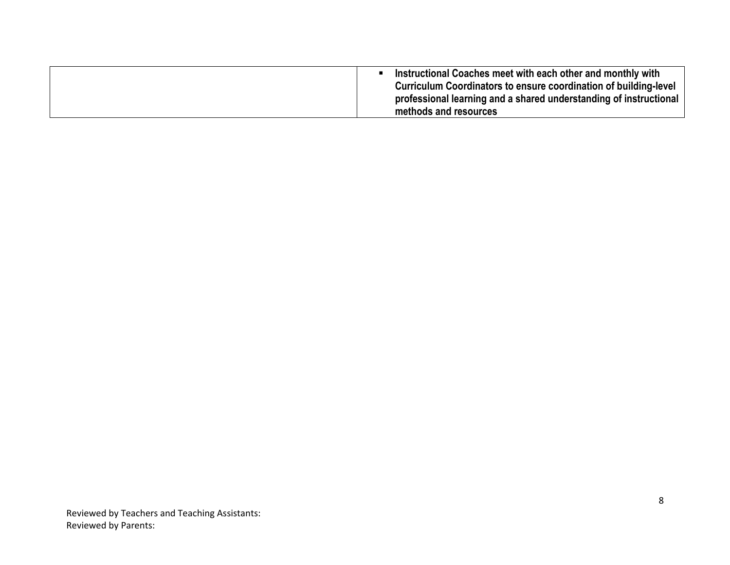| Instructional Coaches meet with each other and monthly with       |
|-------------------------------------------------------------------|
| Curriculum Coordinators to ensure coordination of building-level  |
| professional learning and a shared understanding of instructional |
| methods and resources                                             |